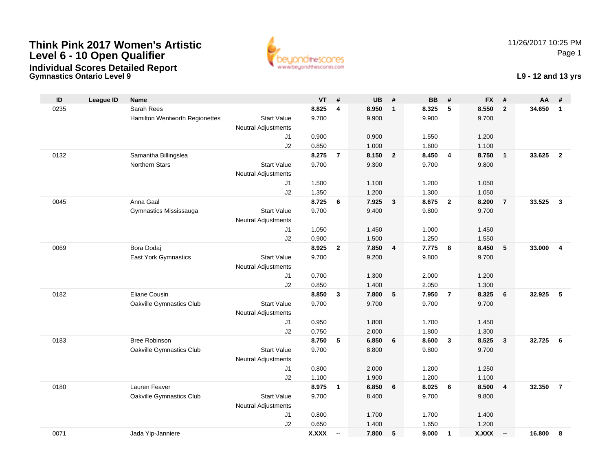### **Think Pink 2017 Women's ArtisticLevel 6 - 10 Open QualifierIndividual Scores Detailed Report**

**Gymnastics Ontario Level 9**



11/26/2017 10:25 PMPage 1

#### **L9 - 12 and 13 yrs**

| ID   | <b>League ID</b> | <b>Name</b>                    |                            | <b>VT</b>    | #                        | <b>UB</b> | #              | <b>BB</b> | #              | <b>FX</b> | #                       | AA     | #                       |
|------|------------------|--------------------------------|----------------------------|--------------|--------------------------|-----------|----------------|-----------|----------------|-----------|-------------------------|--------|-------------------------|
| 0235 |                  | Sarah Rees                     |                            | 8.825        | $\overline{\mathbf{4}}$  | 8.950     | $\mathbf{1}$   | 8.325     | 5              | 8.550     | $\overline{2}$          | 34.650 | $\mathbf{1}$            |
|      |                  | Hamilton Wentworth Regionettes | <b>Start Value</b>         | 9.700        |                          | 9.900     |                | 9.900     |                | 9.700     |                         |        |                         |
|      |                  |                                | <b>Neutral Adjustments</b> |              |                          |           |                |           |                |           |                         |        |                         |
|      |                  |                                | J1                         | 0.900        |                          | 0.900     |                | 1.550     |                | 1.200     |                         |        |                         |
|      |                  |                                | J2                         | 0.850        |                          | 1.000     |                | 1.600     |                | 1.100     |                         |        |                         |
| 0132 |                  | Samantha Billingslea           |                            | 8.275        | $\overline{7}$           | 8.150     | $\overline{2}$ | 8.450     | $\overline{4}$ | 8.750     | $\overline{1}$          | 33.625 | $\overline{2}$          |
|      |                  | Northern Stars                 | <b>Start Value</b>         | 9.700        |                          | 9.300     |                | 9.700     |                | 9.800     |                         |        |                         |
|      |                  |                                | <b>Neutral Adjustments</b> |              |                          |           |                |           |                |           |                         |        |                         |
|      |                  |                                | J1                         | 1.500        |                          | 1.100     |                | 1.200     |                | 1.050     |                         |        |                         |
|      |                  |                                | J2                         | 1.350        |                          | 1.200     |                | 1.300     |                | 1.050     |                         |        |                         |
| 0045 |                  | Anna Gaal                      |                            | 8.725        | 6                        | 7.925     | $\mathbf{3}$   | 8.675     | $\overline{2}$ | 8.200     | $\overline{7}$          | 33.525 | $\overline{3}$          |
|      |                  | Gymnastics Mississauga         | <b>Start Value</b>         | 9.700        |                          | 9.400     |                | 9.800     |                | 9.700     |                         |        |                         |
|      |                  |                                | Neutral Adjustments        |              |                          |           |                |           |                |           |                         |        |                         |
|      |                  |                                | J1                         | 1.050        |                          | 1.450     |                | 1.000     |                | 1.450     |                         |        |                         |
|      |                  |                                | J2                         | 0.900        |                          | 1.500     |                | 1.250     |                | 1.550     |                         |        |                         |
| 0069 |                  | Bora Dodaj                     |                            | 8.925        | $\mathbf{2}$             | 7.850     | 4              | 7.775     | 8              | 8.450     | $\sqrt{5}$              | 33.000 | $\overline{\mathbf{4}}$ |
|      |                  | East York Gymnastics           | <b>Start Value</b>         | 9.700        |                          | 9.200     |                | 9.800     |                | 9.700     |                         |        |                         |
|      |                  |                                | <b>Neutral Adjustments</b> |              |                          |           |                |           |                |           |                         |        |                         |
|      |                  |                                | J1                         | 0.700        |                          | 1.300     |                | 2.000     |                | 1.200     |                         |        |                         |
|      |                  |                                | J2                         | 0.850        |                          | 1.400     |                | 2.050     |                | 1.300     |                         |        |                         |
| 0182 |                  | Eliane Cousin                  |                            | 8.850        | $\mathbf{3}$             | 7.800     | 5              | 7.950     | $\overline{7}$ | 8.325     | 6                       | 32.925 | 5                       |
|      |                  | Oakville Gymnastics Club       | <b>Start Value</b>         | 9.700        |                          | 9.700     |                | 9.700     |                | 9.700     |                         |        |                         |
|      |                  |                                | <b>Neutral Adjustments</b> |              |                          |           |                |           |                |           |                         |        |                         |
|      |                  |                                | J1                         | 0.950        |                          | 1.800     |                | 1.700     |                | 1.450     |                         |        |                         |
|      |                  |                                | J2                         | 0.750        |                          | 2.000     |                | 1.800     |                | 1.300     |                         |        |                         |
| 0183 |                  | <b>Bree Robinson</b>           |                            | 8.750        | 5                        | 6.850     | 6              | 8.600     | $\mathbf{3}$   | 8.525     | $\mathbf{3}$            | 32.725 | 6                       |
|      |                  | Oakville Gymnastics Club       | <b>Start Value</b>         | 9.700        |                          | 8.800     |                | 9.800     |                | 9.700     |                         |        |                         |
|      |                  |                                | Neutral Adjustments        |              |                          |           |                |           |                |           |                         |        |                         |
|      |                  |                                | J1                         | 0.800        |                          | 2.000     |                | 1.200     |                | 1.250     |                         |        |                         |
|      |                  |                                | J2                         | 1.100        |                          | 1.900     |                | 1.200     |                | 1.100     |                         |        |                         |
| 0180 |                  | Lauren Feaver                  |                            | 8.975        | 1                        | 6.850     | 6              | 8.025     | 6              | 8.500     | $\overline{\mathbf{4}}$ | 32.350 | $\overline{7}$          |
|      |                  | Oakville Gymnastics Club       | <b>Start Value</b>         | 9.700        |                          | 8.400     |                | 9.700     |                | 9.800     |                         |        |                         |
|      |                  |                                | Neutral Adjustments        |              |                          |           |                |           |                |           |                         |        |                         |
|      |                  |                                | J1                         | 0.800        |                          | 1.700     |                | 1.700     |                | 1.400     |                         |        |                         |
|      |                  |                                | J2                         | 0.650        |                          | 1.400     |                | 1.650     |                | 1.200     |                         |        |                         |
| 0071 |                  | Jada Yip-Janniere              |                            | <b>X.XXX</b> | $\overline{\phantom{a}}$ | 7.800     | 5              | 9.000     | $\mathbf{1}$   | X.XXX     | $\sim$                  | 16.800 | 8                       |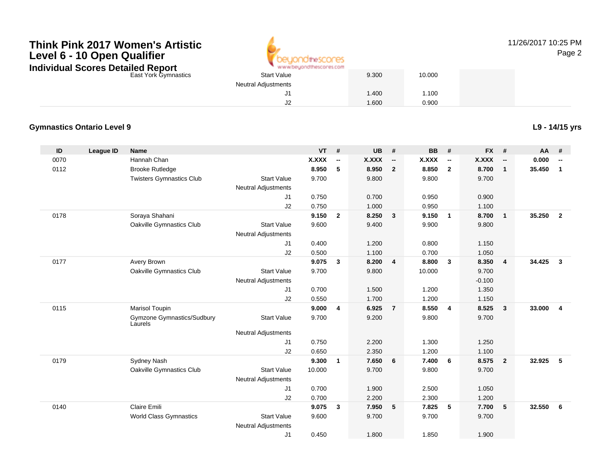## **Think Pink 2017 Women's ArtisticLevel 6 - 10 Open QualifierIndividual Scores Detailed Report**



11/26/2017 10:25 PMPage 2

East York Gymnastics

|      | AR AR AN ORD/YOU KN III MOYOR IN 20 FOR LI |       |        |
|------|--------------------------------------------|-------|--------|
| tics | <b>Start Value</b>                         | 9.300 | 10.000 |
|      | <b>Neutral Adjustments</b>                 |       |        |
|      | J1                                         | 1.400 | 1.100  |
|      | J2                                         | 1.600 | 0.900  |

#### **Gymnastics Ontario Level 9**

**L9 - 14/15 yrs**

| ID   | <b>League ID</b> | <b>Name</b>                           |                            | <b>VT</b> | #            | <b>UB</b> | #                        | <b>BB</b> | #                        | <b>FX</b>    | #                        | AA     | #                        |
|------|------------------|---------------------------------------|----------------------------|-----------|--------------|-----------|--------------------------|-----------|--------------------------|--------------|--------------------------|--------|--------------------------|
| 0070 |                  | Hannah Chan                           |                            | X.XXX     | --           | X.XXX     | $\overline{\phantom{a}}$ | X.XXX     | $\overline{\phantom{a}}$ | <b>X.XXX</b> | $\overline{\phantom{a}}$ | 0.000  | $\overline{\phantom{a}}$ |
| 0112 |                  | <b>Brooke Rutledge</b>                |                            | 8.950     | 5            | 8.950     | $\overline{2}$           | 8.850     | $\overline{2}$           | 8.700        | $\mathbf{1}$             | 35.450 | $\mathbf{1}$             |
|      |                  | <b>Twisters Gymnastics Club</b>       | <b>Start Value</b>         | 9.700     |              | 9.800     |                          | 9.800     |                          | 9.700        |                          |        |                          |
|      |                  |                                       | <b>Neutral Adjustments</b> |           |              |           |                          |           |                          |              |                          |        |                          |
|      |                  |                                       | J1                         | 0.750     |              | 0.700     |                          | 0.950     |                          | 0.900        |                          |        |                          |
|      |                  |                                       | J2                         | 0.750     |              | 1.000     |                          | 0.950     |                          | 1.100        |                          |        |                          |
| 0178 |                  | Soraya Shahani                        |                            | 9.150     | $\mathbf{2}$ | 8.250     | 3                        | 9.150     | $\overline{\mathbf{1}}$  | 8.700        | $\mathbf{1}$             | 35.250 | $\overline{2}$           |
|      |                  | Oakville Gymnastics Club              | <b>Start Value</b>         | 9.600     |              | 9.400     |                          | 9.900     |                          | 9.800        |                          |        |                          |
|      |                  |                                       | <b>Neutral Adjustments</b> |           |              |           |                          |           |                          |              |                          |        |                          |
|      |                  |                                       | J1                         | 0.400     |              | 1.200     |                          | 0.800     |                          | 1.150        |                          |        |                          |
|      |                  |                                       | J2                         | 0.500     |              | 1.100     |                          | 0.700     |                          | 1.050        |                          |        |                          |
| 0177 |                  | Avery Brown                           |                            | 9.075     | $\mathbf{3}$ | 8.200     | $\overline{\mathbf{4}}$  | 8.800     | $\overline{\mathbf{3}}$  | 8.350        | $\overline{4}$           | 34.425 | $\mathbf{3}$             |
|      |                  | Oakville Gymnastics Club              | <b>Start Value</b>         | 9.700     |              | 9.800     |                          | 10.000    |                          | 9.700        |                          |        |                          |
|      |                  |                                       | <b>Neutral Adjustments</b> |           |              |           |                          |           |                          | $-0.100$     |                          |        |                          |
|      |                  |                                       | J1                         | 0.700     |              | 1.500     |                          | 1.200     |                          | 1.350        |                          |        |                          |
|      |                  |                                       | J2                         | 0.550     |              | 1.700     |                          | 1.200     |                          | 1.150        |                          |        |                          |
| 0115 |                  | Marisol Toupin                        |                            | 9.000     | 4            | 6.925     | $\overline{7}$           | 8.550     | $\overline{4}$           | 8.525        | $\mathbf{3}$             | 33.000 | $\overline{\mathbf{4}}$  |
|      |                  | Gymzone Gymnastics/Sudbury<br>Laurels | <b>Start Value</b>         | 9.700     |              | 9.200     |                          | 9.800     |                          | 9.700        |                          |        |                          |
|      |                  |                                       | <b>Neutral Adjustments</b> |           |              |           |                          |           |                          |              |                          |        |                          |
|      |                  |                                       | J1                         | 0.750     |              | 2.200     |                          | 1.300     |                          | 1.250        |                          |        |                          |
|      |                  |                                       | J2                         | 0.650     |              | 2.350     |                          | 1.200     |                          | 1.100        |                          |        |                          |
| 0179 |                  | Sydney Nash                           |                            | 9.300     | $\mathbf{1}$ | 7.650     | 6                        | 7.400     | 6                        | 8.575        | $\overline{2}$           | 32.925 | 5                        |
|      |                  | Oakville Gymnastics Club              | <b>Start Value</b>         | 10.000    |              | 9.700     |                          | 9.800     |                          | 9.700        |                          |        |                          |
|      |                  |                                       | <b>Neutral Adjustments</b> |           |              |           |                          |           |                          |              |                          |        |                          |
|      |                  |                                       | J1                         | 0.700     |              | 1.900     |                          | 2.500     |                          | 1.050        |                          |        |                          |
|      |                  |                                       | J2                         | 0.700     |              | 2.200     |                          | 2.300     |                          | 1.200        |                          |        |                          |
| 0140 |                  | <b>Claire Emili</b>                   |                            | 9.075     | 3            | 7.950     | 5                        | 7.825     | 5                        | 7.700        | 5                        | 32.550 | 6                        |
|      |                  | <b>World Class Gymnastics</b>         | <b>Start Value</b>         | 9.600     |              | 9.700     |                          | 9.700     |                          | 9.700        |                          |        |                          |
|      |                  |                                       | <b>Neutral Adjustments</b> |           |              |           |                          |           |                          |              |                          |        |                          |
|      |                  |                                       | J <sub>1</sub>             | 0.450     |              | 1.800     |                          | 1.850     |                          | 1.900        |                          |        |                          |